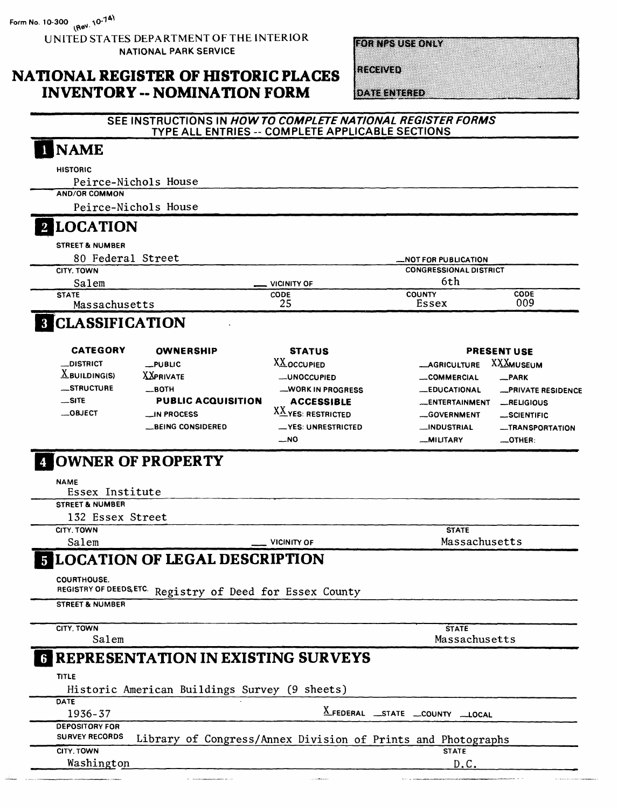UNITED STATES DEPARTMENT OF THE INTERIOR NATIONAL PARK SERVICE

**IOTENZSUSSONEZ** 

### **NATIONAL REGISTER OF HISTORIC PLACES INVENTORY -- NOMINATION FORM**

RECEIVED

DATE ENTERED

#### SEE INSTRUCTIONS IN HOW TO COMPLETE NATIONAL REGISTER FORMS TYPE ALL ENTRIES -- COMPLETE APPLICABLE SECTIONS

# **NAME HISTORIC**

Peirce-Nichols House AND/OR COMMON

Peirce-Nichols House

## **2 LOCATION**

**STREET & NUMBER** 

| 80 Federal Street |                    | <b>MOT FOR PUBLICATION</b>    |             |
|-------------------|--------------------|-------------------------------|-------------|
| <b>CITY, TOWN</b> |                    | <b>CONGRESSIONAL DISTRICT</b> |             |
| Salem             | <b>VICINITY OF</b> | 6th                           |             |
| <b>STATE</b>      | <b>CODE</b>        | <b>COUNTY</b>                 | <b>CODE</b> |
| Massachusetts     | 25                 | Essex                         | 009         |
|                   |                    |                               |             |

## **8 CLASSIFICATION**

| <b>CATEGORY</b>                              | <b>OWNERSHIP</b>          | <b>STATUS</b>      |                       | <b>PRESENT USE</b> |
|----------------------------------------------|---------------------------|--------------------|-----------------------|--------------------|
| <b>__DISTRICT</b>                            | $L$ PUBLIC                | <b>XX</b> OCCUPIED | <b>_AGRICULTURE</b>   | <b>XXXMUSEUM</b>   |
| $X$ BUILDING(S)                              | <b>XXPRIVATE</b>          | -UNOCCUPIED        | COMMERCIAL            | $-$ PARK           |
| _STRUCTURE                                   | $-$ BOTH                  | -WORK IN PROGRESS  | <b>_EDUCATIONAL</b>   | -PRIVATE RESIDENCE |
| $-SITE$                                      | <b>PUBLIC ACQUISITION</b> | <b>ACCESSIBLE</b>  | <b>_ENTERTAINMENT</b> | _RELIGIOUS         |
| $\rule{0pt}{0pt}$ $\rule{0pt}{0pt}$ $\qquad$ | $\equiv$ IN PROCESS       | XX YES: RESTRICTED | -GOVERNMENT           | _SCIENTIFIC        |
|                                              | <b>__BEING CONSIDERED</b> | -YES: UNRESTRICTED | <b>__INDUSTRIAL</b>   | -TRANSPORTATION    |
|                                              |                           | _NO                | <b>MILITARY</b>       | $\equiv$ OTHER:    |

## **COWNER OF PROPERTY**

**NAME** 

Essex Institute

STREET & NUMBER

132 Essex Street

CITY, TOWN

Salem

**VICINITY OF** 

**STATE** Massachusetts

## **5 LOCATION OF LEGAL DESCRIPTION**

**COURTHOUSE.** 

REGISTRY OF DEEDS, ETC. Registry of Deed for Essex County

**STREET & NUMBER** 

CITY, TOWN

Salem

**STATE** Massachusetts

## **REPRESENTATION IN EXISTING SURVEYS**

**TITLE** 

Historic American Buildings Survey (9 sheets)

DATE 1936-37

X\_FEDERAL \_\_STATE \_\_COUNTY \_\_LOCAL

| <b>DEPOSITORY FOR</b> |  |                                                              |  |  |              |  |
|-----------------------|--|--------------------------------------------------------------|--|--|--------------|--|
| <b>SURVEY RECORDS</b> |  | Library of Congress/Annex Division of Prints and Photographs |  |  |              |  |
| CITY. TOWN            |  |                                                              |  |  | <b>STATE</b> |  |
| Washington            |  |                                                              |  |  | D.C.         |  |

Washington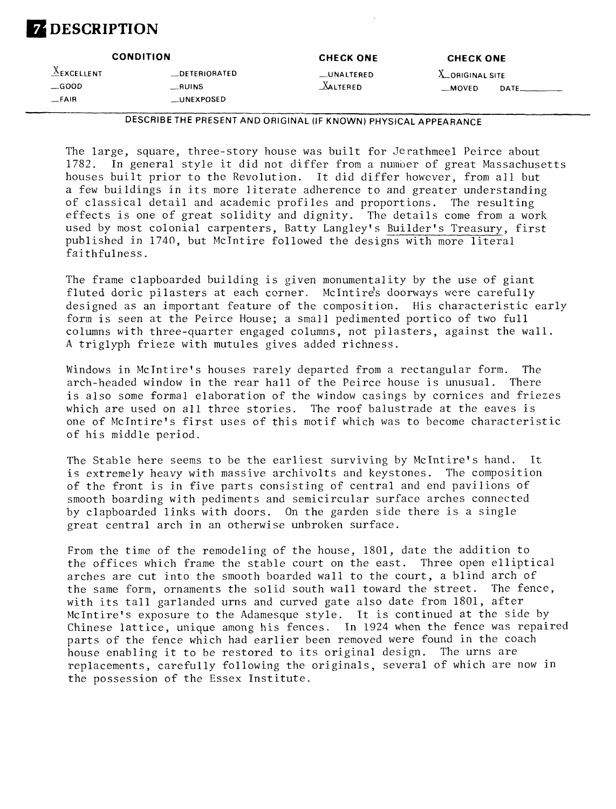## **Z** DESCRIPTION

|                                       | <b>CONDITION</b>         | <b>CHECK ONE</b>        | <b>CHECK ONE</b>                            |  |
|---------------------------------------|--------------------------|-------------------------|---------------------------------------------|--|
| $\triangle$ EXCELLENT<br>$\_\$ {GOOD} | _DETERIORATED<br>$-MINS$ | __UNALTERED<br>XALTERED | <b>X_ORIGINAL SITE</b><br>$-MOVED$<br>DATE. |  |
| $-FAIR$                               | __UNEXPOSED              |                         |                                             |  |

DESCRIBE THE PRESENT AND ORIGINAL (IF KNOWN) PHYSICAL APPEARANCE

The large, square, three-story house was built for Jerathmeel Peirce about 1782. In general style it did not differ from a number of great Massachusetts houses built prior to the Revolution. It did differ however, from all but a few buildings in its more literate adherence to and greater understanding of classical detail and academic profiles and proportions. The resulting effects is one of great solidity and dignity. The details come from a work used by most colonial carpenters, Batty Langley's Bui1der's Treasury, first published in 1740, but Mclntire followed the designs with more literal faithfulness.

The frame clapboarded building is given monumentality by the use of giant fluted doric pilasters at each corner. Mclntire's doorways were carefully designed as an important feature of the composition. His characteristic early form is seen at the Peirce House; a small pedimented portico of two full columns with three-quarter engaged columns, not pilasters, against the wall. A triglyph frieze with mutules gives added richness.

Windows in Mclntire's houses rarely departed from a rectangular form. The arch-headed window in the rear hall of the Peirce house is unusual. There is also some formal elaboration of the window casings by cornices and friezes which are used on all three stories. The roof balustrade at the eaves is one of Mclntire's first uses of this motif which was to become characteristic of his middle period.

The Stable here seems to be the earliest surviving by Mclntire's hand. It is extremely heavy with massive archivolts and keystones. The composition of the front is in five parts consisting of central and end pavilions of smooth boarding with pediments and semicircular surface arches connected by clapboarded links with doors. On the garden side there is a single great central arch in an otherwise unbroken surface.

From the time of the remodeling of the house, 1801, date the addition to the offices which frame the stable court on the east. Three open elliptical arches are cut into the smooth boarded wall to the court, a blind arch of the same form, ornaments the solid south wall toward the street. The fence, with its tall garlanded urns and curved gate also date from 1801, after Mclntire's exposure to the Adamesque style. It is continued at the side by Chinese lattice, unique among his fences. In 1924 when the fence was repaired parts of the fence which had earlier been removed were found in the coach house enabling it to be restored to its original design. The urns are replacements, carefully following the originals, several of which are now in the possession of the Essex Institute.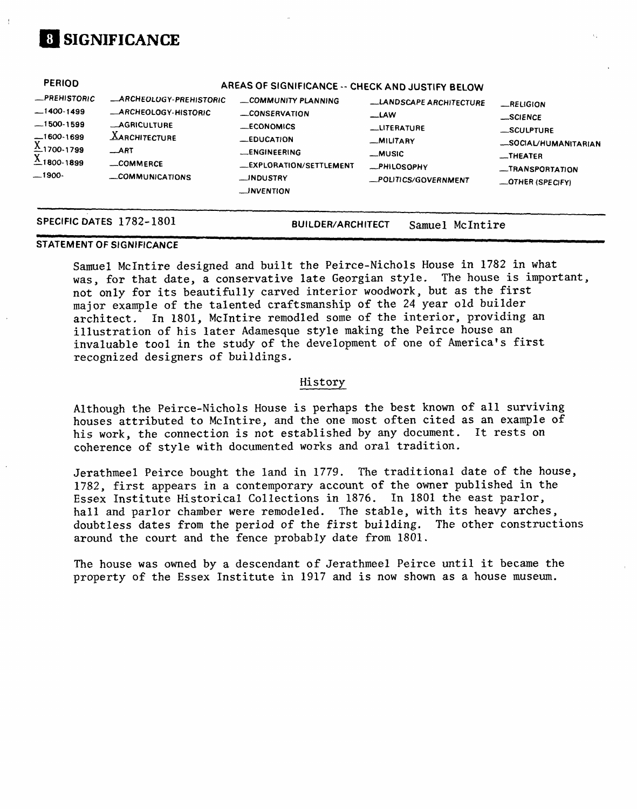## **01 SIGNIFICANCE**

| <b>PERIOD</b><br>-PREHISTORIC<br>$-1400-1499$<br>$-1500-1599$<br>$-1600-1699$<br>$X_{1700-1799}$<br>$X_{1800-1899}$<br>$-1900-$ | <b>_ARCHEOLOGY-PREHISTORIC</b><br><b>_ARCHEOLOGY-HISTORIC</b><br><b>AGRICULTURE</b><br><b>XARCHITECTURE</b><br>ART<br>_COMMERCE<br>COMMUNICATIONS | AREAS OF SIGNIFICANCE -- CHECK AND JUSTIFY BELOW<br>COMMUNITY PLANNING<br><b>LONSERVATION</b><br><b>ECONOMICS</b><br>$-$ EDUCATION<br><b>LENGINEERING</b><br>-EXPLORATION/SETTLEMENT<br>__INDUSTRY<br>__INVENTION | -LANDSCAPE ARCHITECTURE<br><b>LAW</b><br>__LITERATURE<br>-MILITARY<br><b>_MUSIC</b><br>-PHILOSOPHY<br>-POLITICS/GOVERNMENT | $-$ RELIGION<br>$\_SCIENCE$<br>SCULPTURE<br>-SOCIAL/HUMANITARIAN<br>-THEATER<br>-TRANSPORTATION<br>-OTHER (SPECIFY) |
|---------------------------------------------------------------------------------------------------------------------------------|---------------------------------------------------------------------------------------------------------------------------------------------------|-------------------------------------------------------------------------------------------------------------------------------------------------------------------------------------------------------------------|----------------------------------------------------------------------------------------------------------------------------|---------------------------------------------------------------------------------------------------------------------|
|                                                                                                                                 | SPECIFIC DATES 1782-1801                                                                                                                          | <b>BUILDER/ARCHITECT</b>                                                                                                                                                                                          | McIntire<br>Samuel                                                                                                         |                                                                                                                     |

#### **STATEMENT OF SIGNIFICANCE ~**

Samuel Mclntire designed and built the Peirce-Nichols House in 1782 in what was, for that date, a conservative late Georgian style. The house is important, not only for its beautifully carved interior woodwork, but as the first major example of the talented craftsmanship of the 24 year old builder architect. In 1801, Mclntire remedied some of the interior, providing an illustration of his later Adamesque style making the Peirce house an invaluable tool in the study of the development of one of America's first recognized designers of buildings.

#### History

Although the Peirce-Nichols House is perhaps the best known of all surviving houses attributed to Mclntire, and the one most often cited as an example of his work, the connection is not established by any document. It rests on coherence of style with documented works and oral tradition.

Jerathmeel Peirce bought the land in 1779. The traditional date of the house, 1782, first appears in a contemporary account of the owner published in the Essex Institute Historical Collections in 1876. In 1801 the east parlor, hall and parlor chamber were remodeled. The stable, with its heavy arches, doubtless dates from the period of the first building. The other constructions around the court and the fence probably date from 1801.

The house was owned by a descendant of Jerathmeel Peirce until it became the property of the Essex Institute in 1917 and is now shown as a house museum.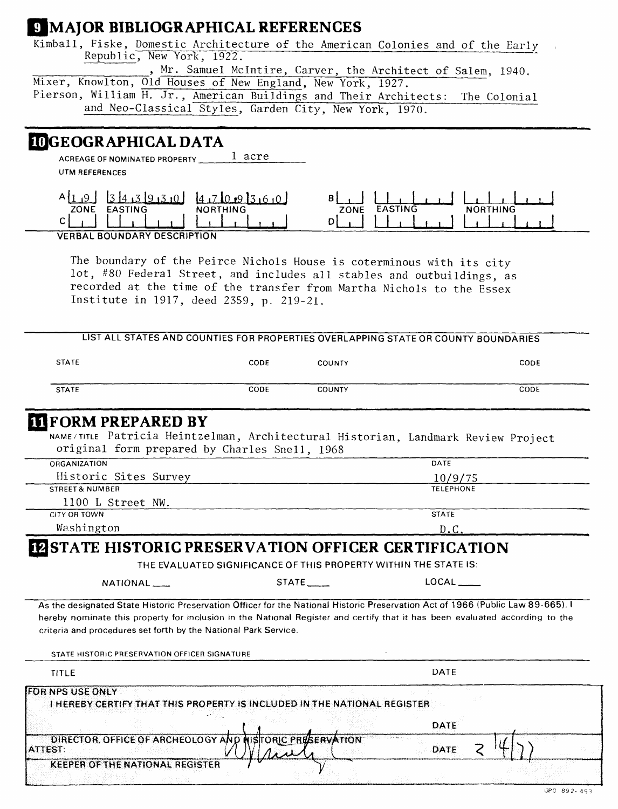### **9 MAJOR BIBLIOGRAPHICAL REFERENCES**

Kimball, Fiske, Domestic Architecture of the American Colonies and of the Early Republic, New York, 1922.

, Mr. Samuel McIntire, Carver, the Architect of Salem, 1940. Mixer, Knowlton, Old Houses of New England, New York, 1927. Pierson, William H. Jr., American Buildings and Their Architects: The Colonial and Neo-Classical Styles, Garden City, New York, 1970.

### **INGEOGRAPHICAL DATA**

1 acre **ACREAGE OF NOMINATED PROPERTY** 

**UTM REFERENCES** 

| ZONE<br><b>EASTING</b> | <b>NORTHING</b> | フロハド | $\sim$ MQ<br>M |
|------------------------|-----------------|------|----------------|
|                        |                 |      |                |
|                        |                 |      |                |

**VERBAL BOUNDARY DESCRIPTION** 

The boundary of the Peirce Nichols House is coterminous with its city lot, #80 Federal Street, and includes all stables and outbuildings, as recorded at the time of the transfer from Martha Nichols to the Essex Institute in 1917, deed 2359, p. 219-21.

|                                                                           |                                                                  |               | LIST ALL STATES AND COUNTIES FOR PROPERTIES OVERLAPPING STATE OR COUNTY BOUNDARIES                                              |  |
|---------------------------------------------------------------------------|------------------------------------------------------------------|---------------|---------------------------------------------------------------------------------------------------------------------------------|--|
| <b>STATE</b>                                                              | CODE                                                             | COUNTY        | CODE                                                                                                                            |  |
| <b>STATE</b>                                                              | CODE                                                             | <b>COUNTY</b> | CODE                                                                                                                            |  |
| <b>IT FORM PREPARED BY</b>                                                |                                                                  |               |                                                                                                                                 |  |
|                                                                           |                                                                  |               | NAME/TITLE Patricia Heintzelman, Architectural Historian, Landmark Review Project                                               |  |
| original form prepared by Charles Snell, 1968                             |                                                                  |               |                                                                                                                                 |  |
| <b>ORGANIZATION</b>                                                       |                                                                  |               | DATE                                                                                                                            |  |
| Historic Sites Survey                                                     |                                                                  |               | 10/9/75                                                                                                                         |  |
| <b>STREET &amp; NUMBER</b>                                                |                                                                  |               | <b>TELEPHONE</b>                                                                                                                |  |
| 1100 L Street NW.                                                         |                                                                  |               |                                                                                                                                 |  |
| CITY OR TOWN                                                              |                                                                  |               | <b>STATE</b>                                                                                                                    |  |
| Washington                                                                |                                                                  |               | D.C                                                                                                                             |  |
| NATIONAL____                                                              | THE EVALUATED SIGNIFICANCE OF THIS PROPERTY WITHIN THE STATE IS: | STATE.        | LOCAL                                                                                                                           |  |
|                                                                           |                                                                  |               | As the designated State Historic Preservation Officer for the National Historic Preservation Act of 1966 (Public Law 89-665). I |  |
|                                                                           |                                                                  |               | hereby nominate this property for inclusion in the National Register and certify that it has been evaluated according to the    |  |
| criteria and procedures set forth by the National Park Service.           |                                                                  |               |                                                                                                                                 |  |
| STATE HISTORIC PRESERVATION OFFICER SIGNATURE                             |                                                                  |               |                                                                                                                                 |  |
| <b>TITLE</b>                                                              |                                                                  |               | DATE                                                                                                                            |  |
| <b>FOR NPS USE ONLY</b>                                                   |                                                                  |               |                                                                                                                                 |  |
| I HEREBY CERTIFY THAT THIS PROPERTY IS INCLUDED IN THE NATIONAL REGISTER. |                                                                  |               |                                                                                                                                 |  |
|                                                                           |                                                                  |               | DATE                                                                                                                            |  |
| DIRECTOR, OFFICE OF ARCHEOLOGY AND INISTORIC PRESERVATION<br>ATTEST:      |                                                                  |               | <b>DATE</b>                                                                                                                     |  |
| <b>KEEPER OF THE NATIONAL REGISTER</b>                                    |                                                                  |               |                                                                                                                                 |  |